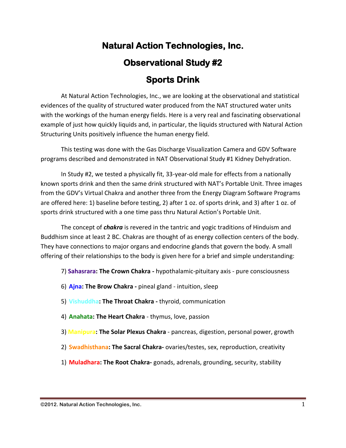## **Natural Action Technologies, Inc. Observational Study #2 Sports Drink**

At Natural Action Technologies, Inc., we are looking at the observational and statistical evidences of the quality of structured water produced from the NAT structured water units with the workings of the human energy fields. Here is a very real and fascinating observational example of just how quickly liquids and, in particular, the liquids structured with Natural Action Structuring Units positively influence the human energy field.

This testing was done with the Gas Discharge Visualization Camera and GDV Software programs described and demonstrated in NAT Observational Study #1 Kidney Dehydration.

In Study #2, we tested a physically fit, 33-year-old male for effects from a nationally known sports drink and then the same drink structured with NAT's Portable Unit. Three images from the GDV's Virtual Chakra and another three from the Energy Diagram Software Programs are offered here: 1) baseline before testing, 2) after 1 oz. of sports drink, and 3) after 1 oz. of sports drink structured with a one time pass thru Natural Action's Portable Unit.

The concept of *chakra* is revered in the tantric and yogic traditions of Hinduism and Buddhism since at least 2 BC. Chakras are thought of as energy collection centers of the body. They have connections to major organs and endocrine glands that govern the body. A small offering of their relationships to the body is given here for a brief and simple understanding:

- 7) **Sahasrara: The Crown Chakra -** hypothalamic-pituitary axis pure consciousness
- 6) **Ajna: The Brow Chakra -** pineal gland intuition, sleep
- 5) **Vishuddha: The Throat Chakra -** thyroid, communication
- 4) **Anahata: The Heart Chakra**  thymus, love, passion
- 3) **Manipura: The Solar Plexus Chakra**  pancreas, digestion, personal power, growth
- 2) **Swadhisthana: The Sacral Chakra-** ovaries/testes, sex, reproduction, creativity
- 1) **Muladhara: The Root Chakra-** gonads, adrenals, grounding, security, stability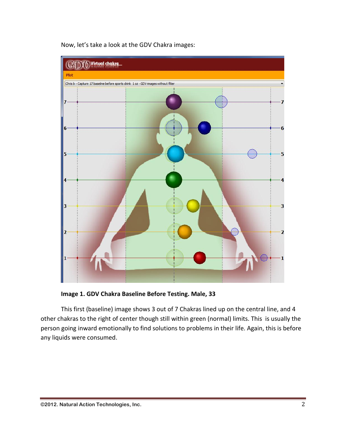

Now, let's take a look at the GDV Chakra images:

**Image 1. GDV Chakra Baseline Before Testing. Male, 33**

This first (baseline) image shows 3 out of 7 Chakras lined up on the central line, and 4 other chakras to the right of center though still within green (normal) limits. This is usually the person going inward emotionally to find solutions to problems in their life. Again, this is before any liquids were consumed.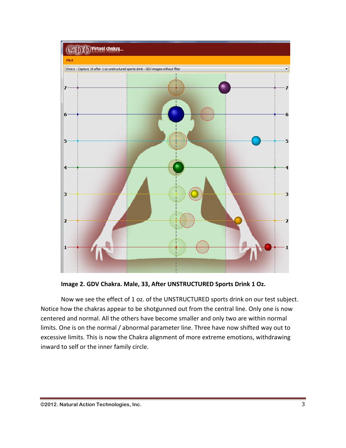

**Image 2. GDV Chakra. Male, 33, After UNSTRUCTURED Sports Drink 1 Oz.**

Now we see the effect of 1 oz. of the UNSTRUCTURED sports drink on our test subject. Notice how the chakras appear to be shotgunned out from the central line. Only one is now centered and normal. All the others have become smaller and only two are within normal limits. One is on the normal / abnormal parameter line. Three have now shifted way out to excessive limits. This is now the Chakra alignment of more extreme emotions, withdrawing inward to self or the inner family circle.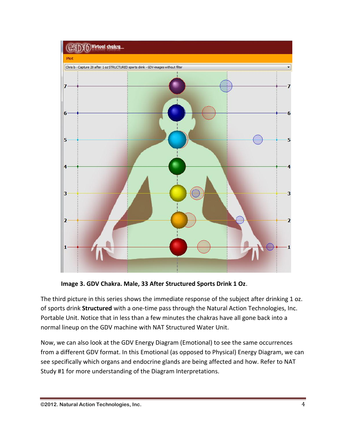

**Image 3. GDV Chakra. Male, 33 After Structured Sports Drink 1 Oz**.

The third picture in this series shows the immediate response of the subject after drinking 1 oz. of sports drink **Structured** with a one-time pass through the Natural Action Technologies, Inc. Portable Unit. Notice that in less than a few minutes the chakras have all gone back into a normal lineup on the GDV machine with NAT Structured Water Unit.

Now, we can also look at the GDV Energy Diagram (Emotional) to see the same occurrences from a different GDV format. In this Emotional (as opposed to Physical) Energy Diagram, we can see specifically which organs and endocrine glands are being affected and how. Refer to NAT Study #1 for more understanding of the Diagram Interpretations.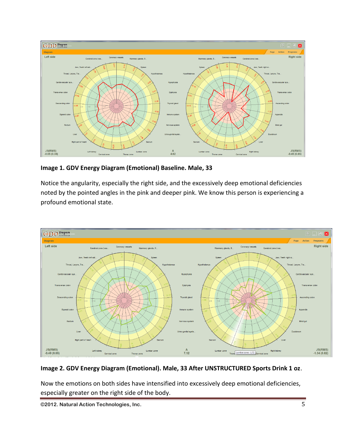

**Image 1. GDV Energy Diagram (Emotional) Baseline. Male, 33**

Notice the angularity, especially the right side, and the excessively deep emotional deficiencies noted by the pointed angles in the pink and deeper pink. We know this person is experiencing a profound emotional state.



## **Image 2. GDV Energy Diagram (Emotional). Male, 33 After UNSTRUCTURED Sports Drink 1 oz**.

Now the emotions on both sides have intensified into excessively deep emotional deficiencies, especially greater on the right side of the body.

**©2012. Natural Action Technologies, Inc.** 5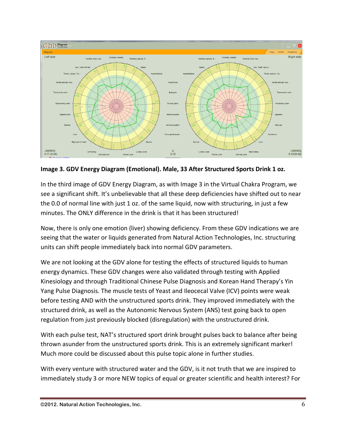

**Image 3. GDV Energy Diagram (Emotional). Male, 33 After Structured Sports Drink 1 oz.**

In the third image of GDV Energy Diagram, as with Image 3 in the Virtual Chakra Program, we see a significant shift. It's unbelievable that all these deep deficiencies have shifted out to near the 0.0 of normal line with just 1 oz. of the same liquid, now with structuring, in just a few minutes. The ONLY difference in the drink is that it has been structured!

Now, there is only one emotion (liver) showing deficiency. From these GDV indications we are seeing that the water or liquids generated from Natural Action Technologies, Inc. structuring units can shift people immediately back into normal GDV parameters.

We are not looking at the GDV alone for testing the effects of structured liquids to human energy dynamics. These GDV changes were also validated through testing with Applied Kinesiology and through Traditional Chinese Pulse Diagnosis and Korean Hand Therapy's Yin Yang Pulse Diagnosis. The muscle tests of Yeast and Ileocecal Valve (ICV) points were weak before testing AND with the unstructured sports drink. They improved immediately with the structured drink, as well as the Autonomic Nervous System (ANS) test going back to open regulation from just previously blocked (disregulation) with the unstructured drink.

With each pulse test, NAT's structured sport drink brought pulses back to balance after being thrown asunder from the unstructured sports drink. This is an extremely significant marker! Much more could be discussed about this pulse topic alone in further studies.

With every venture with structured water and the GDV, is it not truth that we are inspired to immediately study 3 or more NEW topics of equal or greater scientific and health interest? For